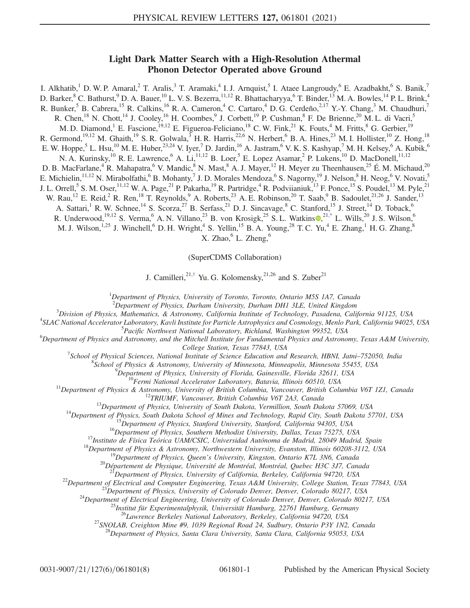## Light Dark Matter Search with a High-Resolution Athermal Phonon Detector Operated above Ground

I. Alkhatib,<sup>1</sup> D. W. P. Amaral,<sup>2</sup> T. Aralis,<sup>3</sup> T. Aramaki,<sup>4</sup> I. J. Arnquist,<sup>5</sup> I. Ataee Langroudy,<sup>6</sup> E. Azadbakht,<sup>6</sup> S. Banik,<sup>7</sup> D. Barker,  ${}^{8}$  C. Bathurst,  ${}^{9}$  D. A. Bauer,  ${}^{10}$  L. V. S. Bezerra,  ${}^{11,12}$  R. Bhattacharyya,  ${}^{6}$  T. Binder,  ${}^{13}$  M. A. Bowles,  ${}^{14}$  P. L. Brink,  ${}^{4}$ R. Bunker,<sup>5</sup> B. Cabrera,<sup>15</sup> R. Calkins,<sup>16</sup> R. A. Cameron,<sup>4</sup> C. Cartaro,<sup>4</sup> D. G. Cerdeño,<sup>2,17</sup> Y.-Y. Chang,<sup>3</sup> M. Chaudhuri,<sup>7</sup> R. Chen,<sup>18</sup> N. Chott,<sup>14</sup> J. Cooley,<sup>16</sup> H. Coombes,<sup>9</sup> J. Corbett,<sup>19</sup> P. Cushman,<sup>8</sup> F. De Brienne,<sup>20</sup> M. L. di Vacri,<sup>5</sup> M. D. Diamond,<sup>1</sup> E. Fascione,<sup>19,12</sup> E. Figueroa-Feliciano,<sup>18</sup> C. W. Fink,<sup>21</sup> K. Fouts,<sup>4</sup> M. Fritts,<sup>8</sup> G. Gerbier,<sup>19</sup> R. Germond,<sup>19,12</sup> M. Ghaith,<sup>19</sup> S. R. Golwala,<sup>3</sup> H. R. Harris,<sup>22,6</sup> N. Herbert,<sup>6</sup> B. A. Hines,<sup>23</sup> M. I. Hollister,<sup>10</sup> Z. Hong,<sup>18</sup> E. W. Hoppe,<sup>5</sup> L. Hsu,<sup>10</sup> M. E. Huber,<sup>23,24</sup> V. Iyer,<sup>7</sup> D. Jardin,<sup>16</sup> A. Jastram,<sup>6</sup> V. K. S. Kashyap,<sup>7</sup> M. H. Kelsey,<sup>6</sup> A. Kubik,<sup>6</sup> N. A. Kurinsky,<sup>10</sup> R. E. Lawrence,<sup>6</sup> A. Li,<sup>11,12</sup> B. Loer,<sup>5</sup> E. Lopez Asamar,<sup>2</sup> P. Lukens,<sup>10</sup> D. MacDonell,<sup>11,12</sup> D. B. MacFarlane,<sup>4</sup> R. Mahapatra,<sup>6</sup> V. Mandic,<sup>8</sup> N. Mast,<sup>8</sup> A. J. Mayer,<sup>12</sup> H. Meyer zu Theenhausen,<sup>25</sup> É. M. Michaud,<sup>20</sup> E. Michielin,<sup>11,12</sup> N. Mirabolfathi,<sup>6</sup> B. Mohanty,<sup>7</sup> J. D. Morales Mendoza,<sup>6</sup> S. Nagorny,<sup>19</sup> J. Nelson,<sup>8</sup> H. Neog,<sup>6</sup> V. Novati,<sup>5</sup> J. L. Orrell,<sup>5</sup> S. M. Oser,<sup>11,12</sup> W. A. Page,<sup>21</sup> P. Pakarha,<sup>19</sup> R. Partridge,<sup>4</sup> R. Podviianiuk,<sup>13</sup> F. Ponce,<sup>15</sup> S. Poudel,<sup>13</sup> M. Pyle,<sup>21</sup> W. Rau,<sup>12</sup> E. Reid,<sup>2</sup> R. Ren,<sup>18</sup> T. Reynolds,<sup>9</sup> A. Roberts,<sup>23</sup> A. E. Robinson,<sup>20</sup> T. Saab,<sup>9</sup> B. Sadoulet,<sup>21,26</sup> J. Sander,<sup>13</sup> A. Sattari,<sup>1</sup> R. W. Schnee,<sup>14</sup> S. Scorza,<sup>27</sup> B. Serfass,<sup>21</sup> D. J. Sincavage,<sup>8</sup> C. Stanford,<sup>15</sup> J. Street,<sup>14</sup> D. Toback,<sup>6</sup> R. Underwood,<sup>19,12</sup> S. Verma, <sup>6</sup> A. N. Villano, <sup>23</sup> B. von Krosigk, <sup>25</sup> S. L. Watkins  $\mathbb{Q}^{21,*}$  $\mathbb{Q}^{21,*}$  $\mathbb{Q}^{21,*}$  L. Wills, <sup>20</sup> J. S. Wilson, <sup>6</sup> M. J. Wilson,<sup>1,25</sup> J. Winchell,<sup>6</sup> D. H. Wright,<sup>4</sup> S. Yellin,<sup>15</sup> B. A. Young,<sup>28</sup> T. C. Yu,<sup>4</sup> E. Zhang,<sup>1</sup> H. G. Zhang,<sup>8</sup> X. Zhao,  $6$  L. Zheng,  $6$ 

(SuperCDMS Collaboration)

J. Camilleri, <sup>21,[†](#page-5-1)</sup> Yu. G. Kolomensky, <sup>21,26</sup> and S. Zuber<sup>21</sup>

<sup>1</sup>Department of Physics, University of Toronto, Toronto, Ontario M5S 1A7, Canada

<span id="page-0-1"></span><span id="page-0-0"></span><sup>2</sup>Department of Physics, Durham University, Durham DH1 3LE, United Kingdom<br><sup>3</sup>Division of Physics, Mathematics, *8, Astronomy, California Institute of Technology, Pasadana, Cali* 

 ${}^{3}$ Division of Physics, Mathematics, & Astronomy, California Institute of Technology, Pasadena, California 91125, USA

<sup>4</sup>SLAC National Accelerator Laboratory, Kavli Institute for Particle Astrophysics and Cosmology, Menlo Park, California 94025, USA<br><sup>5</sup>Pacific Northwest National Laboratory, Richland, Washington 99352, USA

<sup>5</sup> Pacific Northwest National Laboratory, Richland, Washington 99352, USA<br>(Department of Physics and Astronomy, and the Mitchell Institute for Fundamental Physics and Astronomy, Texas A&M University

College Station, Texas 77843, USA<br><sup>7</sup>Sehool of Physical Sciences, National Institute of Science Education and

School of Physical Sciences, National Institute of Science Education and Research, HBNI, Jatni–752050, India<br><sup>8</sup>School of Physics, *8*, Astronomy, University of Minnesota, Minnesotic, Minnesota, 55455, USA

School of Physics & Astronomy, University of Minnesota, Minneapolis, Minnesota 55455, USA<br><sup>9</sup>Department of Physics, University of Florida, Gainesville, Florida 32611, USA

<sup>10</sup>Permi National Accelerator Laboratory, Batavia, Illinois 60510, USA<br>
<sup>11</sup>Department of Physics & Astronomy, University of British Columbia, Varios vore, British Columbia V67 121, Canada<br>
<sup>13</sup>Pepartment of Physics, Uni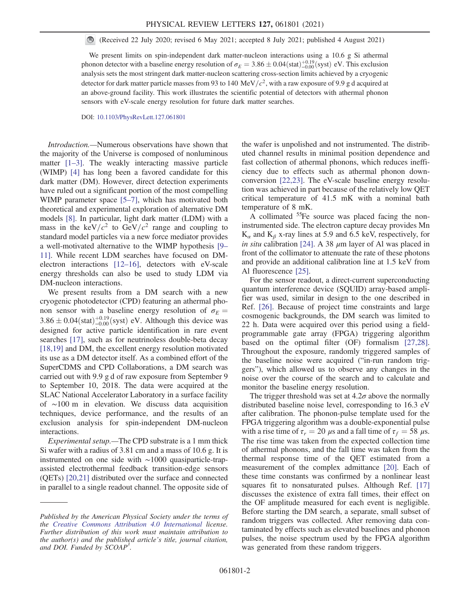(Received 22 July 2020; revised 6 May 2021; accepted 8 July 2021; published 4 August 2021)

We present limits on spin-independent dark matter-nucleon interactions using a 10.6 g Si athermal phonon detector with a baseline energy resolution of  $\sigma_E = 3.86 \pm 0.04 \text{(stat)}_{-0.00}^{+0.19} \text{(syst)}$  eV. This exclusion analysis sets the most stringent dark matter-nucleon scattering cross-section limits achieved by a cryogenic detector for dark matter particle masses from 93 to 140 MeV/ $c^2$ , with a raw exposure of 9.9 g d acquired at an above-ground facility. This work illustrates the scientific potential of detectors with athermal phonon sensors with eV-scale energy resolution for future dark matter searches.

DOI: [10.1103/PhysRevLett.127.061801](https://doi.org/10.1103/PhysRevLett.127.061801)

Introduction.—Numerous observations have shown that the majority of the Universe is composed of nonluminous matter [\[1](#page-5-2)–3]. The weakly interacting massive particle (WIMP) [\[4\]](#page-5-3) has long been a favored candidate for this dark matter (DM). However, direct detection experiments have ruled out a significant portion of the most compelling WIMP parameter space [\[5](#page-5-4)–7], which has motivated both theoretical and experimental exploration of alternative DM models [\[8\].](#page-5-5) In particular, light dark matter (LDM) with a mass in the keV/ $c^2$  to GeV/ $c^2$  range and coupling to standard model particles via a new force mediator provides a well-motivated alternative to the WIMP hypothesis [\[9](#page-5-6)– [11\].](#page-5-6) While recent LDM searches have focused on DMelectron interactions [\[12](#page-5-7)–16], detectors with eV-scale energy thresholds can also be used to study LDM via DM-nucleon interactions.

We present results from a DM search with a new cryogenic photodetector (CPD) featuring an athermal phonon sensor with a baseline energy resolution of  $\sigma_E$  =  $3.86 \pm 0.04$ (stat) $^{+0.19}_{-0.00}$ (syst) eV. Although this device was designed for active particle identification in rare event searches [\[17\]](#page-6-0), such as for neutrinoless double-beta decay [\[18,19\]](#page-6-1) and DM, the excellent energy resolution motivated its use as a DM detector itself. As a combined effort of the SuperCDMS and CPD Collaborations, a DM search was carried out with 9.9 g d of raw exposure from September 9 to September 10, 2018. The data were acquired at the SLAC National Accelerator Laboratory in a surface facility of ∼100 m in elevation. We discuss data acquisition techniques, device performance, and the results of an exclusion analysis for spin-independent DM-nucleon interactions.

Experimental setup.—The CPD substrate is a 1 mm thick Si wafer with a radius of 3.81 cm and a mass of 10.6 g. It is instrumented on one side with ∼1000 quasiparticle-trapassisted electrothermal feedback transition-edge sensors (QETs) [\[20,21\]](#page-6-2) distributed over the surface and connected in parallel to a single readout channel. The opposite side of the wafer is unpolished and not instrumented. The distributed channel results in minimal position dependence and fast collection of athermal phonons, which reduces inefficiency due to effects such as athermal phonon downconversion [\[22,23\].](#page-6-3) The eV-scale baseline energy resolution was achieved in part because of the relatively low QET critical temperature of 41.5 mK with a nominal bath temperature of 8 mK.

A collimated <sup>55</sup>Fe source was placed facing the noninstrumented side. The electron capture decay provides Mn  $K_{\alpha}$  and  $K_{\beta}$  x-ray lines at 5.9 and 6.5 keV, respectively, for in situ calibration [\[24\]](#page-6-4). A 38  $\mu$ m layer of Al was placed in front of the collimator to attenuate the rate of these photons and provide an additional calibration line at 1.5 keV from Al fluorescence [\[25\]](#page-6-5).

For the sensor readout, a direct-current superconducting quantum interference device (SQUID) array-based amplifier was used, similar in design to the one described in Ref. [\[26\]](#page-6-6). Because of project time constraints and large cosmogenic backgrounds, the DM search was limited to 22 h. Data were acquired over this period using a fieldprogrammable gate array (FPGA) triggering algorithm based on the optimal filter (OF) formalism [\[27,28\]](#page-6-7). Throughout the exposure, randomly triggered samples of the baseline noise were acquired ("in-run random triggers"), which allowed us to observe any changes in the noise over the course of the search and to calculate and monitor the baseline energy resolution.

The trigger threshold was set at  $4.2\sigma$  above the normally distributed baseline noise level, corresponding to 16.3 eV after calibration. The phonon-pulse template used for the FPGA triggering algorithm was a double-exponential pulse with a rise time of  $\tau_r = 20 \mu s$  and a fall time of  $\tau_f = 58 \mu s$ . The rise time was taken from the expected collection time of athermal phonons, and the fall time was taken from the thermal response time of the QET estimated from a measurement of the complex admittance [\[20\]](#page-6-2). Each of these time constants was confirmed by a nonlinear least squares fit to nonsaturated pulses. Although Ref. [\[17\]](#page-6-0) discusses the existence of extra fall times, their effect on the OF amplitude measured for each event is negligible. Before starting the DM search, a separate, small subset of random triggers was collected. After removing data contaminated by effects such as elevated baselines and phonon pulses, the noise spectrum used by the FPGA algorithm was generated from these random triggers.

Published by the American Physical Society under the terms of the [Creative Commons Attribution 4.0 International](https://creativecommons.org/licenses/by/4.0/) license. Further distribution of this work must maintain attribution to the author(s) and the published article's title, journal citation, and DOI. Funded by SCOAP<sup>3</sup>.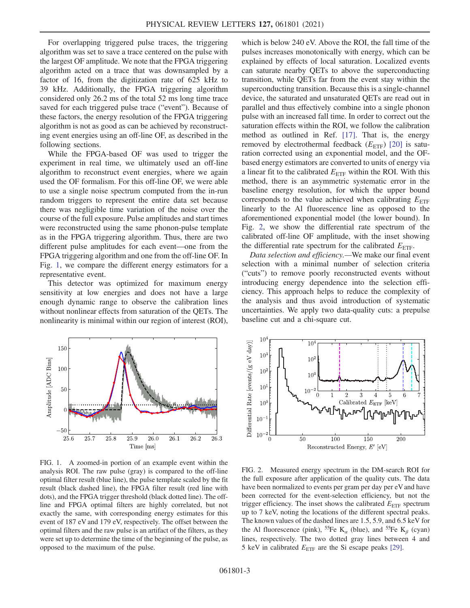For overlapping triggered pulse traces, the triggering algorithm was set to save a trace centered on the pulse with the largest OF amplitude. We note that the FPGA triggering algorithm acted on a trace that was downsampled by a factor of 16, from the digitization rate of 625 kHz to 39 kHz. Additionally, the FPGA triggering algorithm considered only 26.2 ms of the total 52 ms long time trace saved for each triggered pulse trace ("event"). Because of these factors, the energy resolution of the FPGA triggering algorithm is not as good as can be achieved by reconstructing event energies using an off-line OF, as described in the following sections.

While the FPGA-based OF was used to trigger the experiment in real time, we ultimately used an off-line algorithm to reconstruct event energies, where we again used the OF formalism. For this off-line OF, we were able to use a single noise spectrum computed from the in-run random triggers to represent the entire data set because there was negligible time variation of the noise over the course of the full exposure. Pulse amplitudes and start times were reconstructed using the same phonon-pulse template as in the FPGA triggering algorithm. Thus, there are two different pulse amplitudes for each event—one from the FPGA triggering algorithm and one from the off-line OF. In Fig. [1,](#page-2-0) we compare the different energy estimators for a representative event.

This detector was optimized for maximum energy sensitivity at low energies and does not have a large enough dynamic range to observe the calibration lines without nonlinear effects from saturation of the QETs. The nonlinearity is minimal within our region of interest (ROI),

which is below 240 eV. Above the ROI, the fall time of the pulses increases monotonically with energy, which can be explained by effects of local saturation. Localized events can saturate nearby QETs to above the superconducting transition, while QETs far from the event stay within the superconducting transition. Because this is a single-channel device, the saturated and unsaturated QETs are read out in parallel and thus effectively combine into a single phonon pulse with an increased fall time. In order to correct out the saturation effects within the ROI, we follow the calibration method as outlined in Ref. [\[17\]](#page-6-0). That is, the energy removed by electrothermal feedback  $(E_{\text{ETF}})$  [\[20\]](#page-6-2) is saturation corrected using an exponential model, and the OFbased energy estimators are converted to units of energy via a linear fit to the calibrated  $E_{\text{ETF}}$  within the ROI. With this method, there is an asymmetric systematic error in the baseline energy resolution, for which the upper bound corresponds to the value achieved when calibrating  $E_{\text{ETF}}$ linearly to the Al fluorescence line as opposed to the aforementioned exponential model (the lower bound). In Fig. [2,](#page-2-1) we show the differential rate spectrum of the calibrated off-line OF amplitude, with the inset showing the differential rate spectrum for the calibrated  $E_{\text{ETF}}$ .

Data selection and efficiency.—We make our final event selection with a minimal number of selection criteria ("cuts") to remove poorly reconstructed events without introducing energy dependence into the selection efficiency. This approach helps to reduce the complexity of the analysis and thus avoid introduction of systematic uncertainties. We apply two data-quality cuts: a prepulse baseline cut and a chi-square cut.

<span id="page-2-0"></span>

FIG. 1. A zoomed-in portion of an example event within the analysis ROI. The raw pulse (gray) is compared to the off-line optimal filter result (blue line), the pulse template scaled by the fit result (black dashed line), the FPGA filter result (red line with dots), and the FPGA trigger threshold (black dotted line). The offline and FPGA optimal filters are highly correlated, but not exactly the same, with corresponding energy estimates for this event of 187 eV and 179 eV, respectively. The offset between the optimal filters and the raw pulse is an artifact of the filters, as they were set up to determine the time of the beginning of the pulse, as opposed to the maximum of the pulse.

<span id="page-2-1"></span>

FIG. 2. Measured energy spectrum in the DM-search ROI for the full exposure after application of the quality cuts. The data have been normalized to events per gram per day per eV and have been corrected for the event-selection efficiency, but not the trigger efficiency. The inset shows the calibrated  $E_{\text{ETF}}$  spectrum up to 7 keV, noting the locations of the different spectral peaks. The known values of the dashed lines are 1.5, 5.9, and 6.5 keV for the Al fluorescence (pink), <sup>55</sup>Fe K<sub>a</sub> (blue), and <sup>55</sup>Fe K<sub>β</sub> (cyan) lines, respectively. The two dotted gray lines between 4 and 5 keV in calibrated  $E_{\text{ETF}}$  are the Si escape peaks [\[29\]](#page-6-8).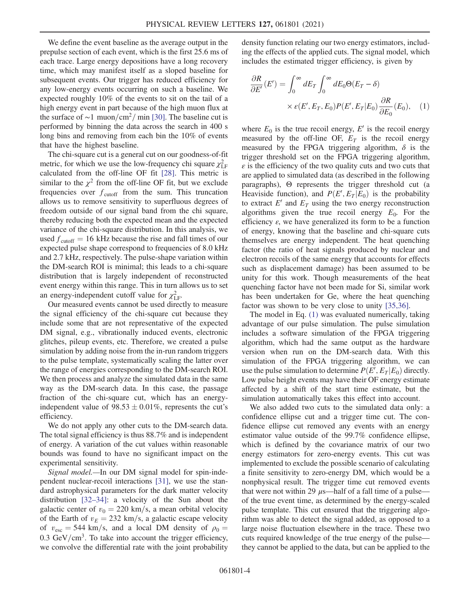We define the event baseline as the average output in the prepulse section of each event, which is the first 25.6 ms of each trace. Large energy depositions have a long recovery time, which may manifest itself as a sloped baseline for subsequent events. Our trigger has reduced efficiency for any low-energy events occurring on such a baseline. We expected roughly 10% of the events to sit on the tail of a high energy event in part because of the high muon flux at the surface of ~1 muon/cm<sup>2</sup>/ min [\[30\].](#page-6-9) The baseline cut is performed by binning the data across the search in 400 s long bins and removing from each bin the 10% of events that have the highest baseline.

The chi-square cut is a general cut on our goodness-of-fit metric, for which we use the low-frequency chi square  $\chi^2_{\text{LF}}$ calculated from the off-line OF fit [\[28\]](#page-6-10). This metric is similar to the  $\chi^2$  from the off-line OF fit, but we exclude frequencies over  $f_{\text{cutoff}}$  from the sum. This truncation allows us to remove sensitivity to superfluous degrees of freedom outside of our signal band from the chi square, thereby reducing both the expected mean and the expected variance of the chi-square distribution. In this analysis, we used  $f<sub>cutoff</sub> = 16 kHz because the rise and fall times of our$ expected pulse shape correspond to frequencies of 8.0 kHz and 2.7 kHz, respectively. The pulse-shape variation within the DM-search ROI is minimal; this leads to a chi-square distribution that is largely independent of reconstructed event energy within this range. This in turn allows us to set an energy-independent cutoff value for  $\chi^2_{LF}$ .

Our measured events cannot be used directly to measure the signal efficiency of the chi-square cut because they include some that are not representative of the expected DM signal, e.g., vibrationally induced events, electronic glitches, pileup events, etc. Therefore, we created a pulse simulation by adding noise from the in-run random triggers to the pulse template, systematically scaling the latter over the range of energies corresponding to the DM-search ROI. We then process and analyze the simulated data in the same way as the DM-search data. In this case, the passage fraction of the chi-square cut, which has an energyindependent value of  $98.53 \pm 0.01\%$ , represents the cut's efficiency.

We do not apply any other cuts to the DM-search data. The total signal efficiency is thus 88.7% and is independent of energy. A variation of the cut values within reasonable bounds was found to have no significant impact on the experimental sensitivity.

Signal model.—In our DM signal model for spin-independent nuclear-recoil interactions [\[31\],](#page-6-11) we use the standard astrophysical parameters for the dark matter velocity distribution [\[32](#page-6-12)–34]: a velocity of the Sun about the galactic center of  $v_0 = 220$  km/s, a mean orbital velocity of the Earth of  $v_E = 232$  km/s, a galactic escape velocity of  $v_{\text{esc}} = 544 \text{ km/s}$ , and a local DM density of  $\rho_0 =$  $0.3 \text{ GeV/cm}^3$ . To take into account the trigger efficiency, we convolve the differential rate with the joint probability

<span id="page-3-0"></span>density function relating our two energy estimators, including the effects of the applied cuts. The signal model, which includes the estimated trigger efficiency, is given by

$$
\frac{\partial R}{\partial E'}(E') = \int_0^\infty dE_T \int_0^\infty dE_0 \Theta(E_T - \delta)
$$

$$
\times \varepsilon(E', E_T, E_0) P(E', E_T | E_0) \frac{\partial R}{\partial E_0}(E_0), \quad (1)
$$

where  $E_0$  is the true recoil energy, E' is the recoil energy measured by the off-line OF,  $E_T$  is the recoil energy measured by the FPGA triggering algorithm,  $\delta$  is the trigger threshold set on the FPGA triggering algorithm,  $\epsilon$  is the efficiency of the two quality cuts and two cuts that are applied to simulated data (as described in the following paragraphs), Θ represents the trigger threshold cut (a Heaviside function), and  $P(E', E_T | E_0)$  is the probability to extract  $E'$  and  $E_T$  using the two energy reconstruction algorithms given the true recoil energy  $E_0$ . For the efficiency  $\varepsilon$ , we have generalized its form to be a function of energy, knowing that the baseline and chi-square cuts themselves are energy independent. The heat quenching factor (the ratio of heat signals produced by nuclear and electron recoils of the same energy that accounts for effects such as displacement damage) has been assumed to be unity for this work. Though measurements of the heat quenching factor have not been made for Si, similar work has been undertaken for Ge, where the heat quenching factor was shown to be very close to unity [\[35,36\]](#page-6-13).

The model in Eq. [\(1\)](#page-3-0) was evaluated numerically, taking advantage of our pulse simulation. The pulse simulation includes a software simulation of the FPGA triggering algorithm, which had the same output as the hardware version when run on the DM-search data. With this simulation of the FPGA triggering algorithm, we can use the pulse simulation to determine  $P(E, E_T | E_0)$  directly. Low pulse height events may have their OF energy estimate affected by a shift of the start time estimate, but the simulation automatically takes this effect into account.

We also added two cuts to the simulated data only: a confidence ellipse cut and a trigger time cut. The confidence ellipse cut removed any events with an energy estimator value outside of the 99.7% confidence ellipse, which is defined by the covariance matrix of our two energy estimators for zero-energy events. This cut was implemented to exclude the possible scenario of calculating a finite sensitivity to zero-energy DM, which would be a nonphysical result. The trigger time cut removed events that were not within 29  $\mu$ s—half of a fall time of a pulse of the true event time, as determined by the energy-scaled pulse template. This cut ensured that the triggering algorithm was able to detect the signal added, as opposed to a large noise fluctuation elsewhere in the trace. These two cuts required knowledge of the true energy of the pulse they cannot be applied to the data, but can be applied to the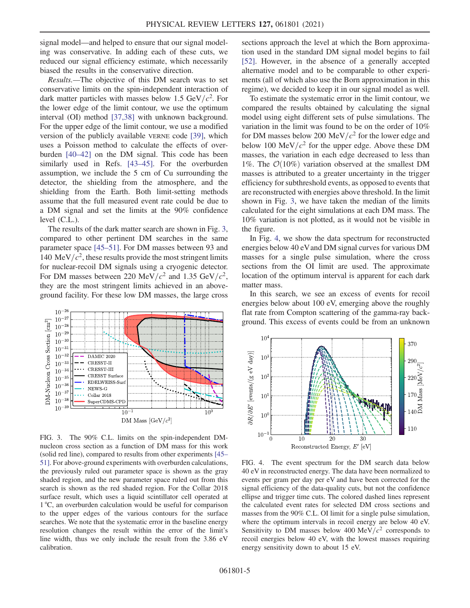signal model—and helped to ensure that our signal modeling was conservative. In adding each of these cuts, we reduced our signal efficiency estimate, which necessarily biased the results in the conservative direction.

Results.—The objective of this DM search was to set conservative limits on the spin-independent interaction of dark matter particles with masses below 1.5 GeV/ $c^2$ . For the lower edge of the limit contour, we use the optimum interval (OI) method [\[37,38\]](#page-6-14) with unknown background. For the upper edge of the limit contour, we use a modified version of the publicly available VERNE code [\[39\]](#page-6-15), which uses a Poisson method to calculate the effects of overburden [40–[42\]](#page-6-16) on the DM signal. This code has been similarly used in Refs. [\[43](#page-6-17)–45]. For the overburden assumption, we include the 5 cm of Cu surrounding the detector, the shielding from the atmosphere, and the shielding from the Earth. Both limit-setting methods assume that the full measured event rate could be due to a DM signal and set the limits at the 90% confidence level (C.L.).

The results of the dark matter search are shown in Fig. [3](#page-4-0), compared to other pertinent DM searches in the same parameter space [\[45](#page-6-18)–51]. For DM masses between 93 and 140 MeV/ $c^2$ , these results provide the most stringent limits for nuclear-recoil DM signals using a cryogenic detector. For DM masses between 220 MeV/ $c^2$  and 1.35 GeV/ $c^2$ , they are the most stringent limits achieved in an aboveground facility. For these low DM masses, the large cross

<span id="page-4-0"></span>

FIG. 3. The 90% C.L. limits on the spin-independent DMnucleon cross section as a function of DM mass for this work (solid red line), compared to results from other experiments [\[45](#page-6-18)– [51\].](#page-6-18) For above-ground experiments with overburden calculations, the previously ruled out parameter space is shown as the gray shaded region, and the new parameter space ruled out from this search is shown as the red shaded region. For the Collar 2018 surface result, which uses a liquid scintillator cell operated at 1 °C, an overburden calculation would be useful for comparison to the upper edges of the various contours for the surface searches. We note that the systematic error in the baseline energy resolution changes the result within the error of the limit's line width, thus we only include the result from the 3.86 eV calibration.

sections approach the level at which the Born approximation used in the standard DM signal model begins to fail [\[52\]](#page-7-0). However, in the absence of a generally accepted alternative model and to be comparable to other experiments (all of which also use the Born approximation in this regime), we decided to keep it in our signal model as well.

To estimate the systematic error in the limit contour, we compared the results obtained by calculating the signal model using eight different sets of pulse simulations. The variation in the limit was found to be on the order of 10% for DM masses below 200 MeV/ $c^2$  for the lower edge and below 100 MeV/ $c^2$  for the upper edge. Above these DM masses, the variation in each edge decreased to less than 1%. The  $\mathcal{O}(10\%)$  variation observed at the smallest DM masses is attributed to a greater uncertainty in the trigger efficiency for subthreshold events, as opposed to events that are reconstructed with energies above threshold. In the limit shown in Fig. [3,](#page-4-0) we have taken the median of the limits calculated for the eight simulations at each DM mass. The 10% variation is not plotted, as it would not be visible in the figure.

In Fig. [4,](#page-4-1) we show the data spectrum for reconstructed energies below 40 eVand DM signal curves for various DM masses for a single pulse simulation, where the cross sections from the OI limit are used. The approximate location of the optimum interval is apparent for each dark matter mass.

In this search, we see an excess of events for recoil energies below about 100 eV, emerging above the roughly flat rate from Compton scattering of the gamma-ray background. This excess of events could be from an unknown

<span id="page-4-1"></span>

FIG. 4. The event spectrum for the DM search data below 40 eV in reconstructed energy. The data have been normalized to events per gram per day per eV and have been corrected for the signal efficiency of the data-quality cuts, but not the confidence ellipse and trigger time cuts. The colored dashed lines represent the calculated event rates for selected DM cross sections and masses from the 90% C.L. OI limit for a single pulse simulation, where the optimum intervals in recoil energy are below 40 eV. Sensitivity to DM masses below 400 MeV/ $c^2$  corresponds to recoil energies below 40 eV, with the lowest masses requiring energy sensitivity down to about 15 eV.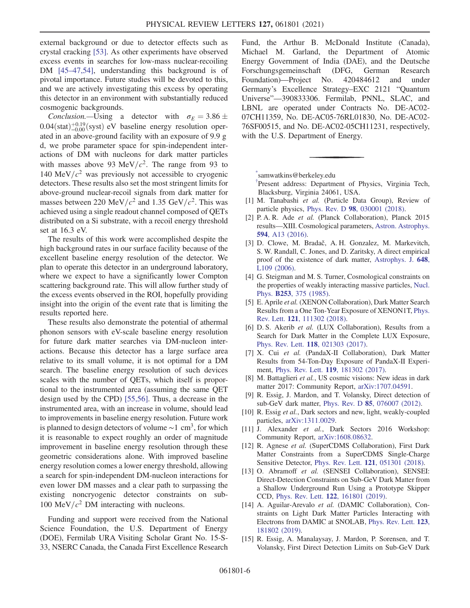external background or due to detector effects such as crystal cracking [\[53\].](#page-7-1) As other experiments have observed excess events in searches for low-mass nuclear-recoiling DM [45–[47,54\],](#page-6-18) understanding this background is of pivotal importance. Future studies will be devoted to this, and we are actively investigating this excess by operating this detector in an environment with substantially reduced cosmogenic backgrounds.

Conclusion.—Using a detector with  $\sigma_E = 3.86 \pm$  $0.04(stat)^{+0.19}_{-0.00}$  (syst) eV baseline energy resolution operated in an above-ground facility with an exposure of 9.9 g d, we probe parameter space for spin-independent interactions of DM with nucleons for dark matter particles with masses above 93 MeV/ $c^2$ . The range from 93 to 140 MeV/ $c<sup>2</sup>$  was previously not accessible to cryogenic detectors. These results also set the most stringent limits for above-ground nuclear-recoil signals from dark matter for masses between 220 MeV/ $c^2$  and 1.35 GeV/ $c^2$ . This was achieved using a single readout channel composed of QETs distributed on a Si substrate, with a recoil energy threshold set at 16.3 eV.

The results of this work were accomplished despite the high background rates in our surface facility because of the excellent baseline energy resolution of the detector. We plan to operate this detector in an underground laboratory, where we expect to have a significantly lower Compton scattering background rate. This will allow further study of the excess events observed in the ROI, hopefully providing insight into the origin of the event rate that is limiting the results reported here.

These results also demonstrate the potential of athermal phonon sensors with eV-scale baseline energy resolution for future dark matter searches via DM-nucleon interactions. Because this detector has a large surface area relative to its small volume, it is not optimal for a DM search. The baseline energy resolution of such devices scales with the number of QETs, which itself is proportional to the instrumented area (assuming the same QET design used by the CPD) [\[55,56\].](#page-7-2) Thus, a decrease in the instrumented area, with an increase in volume, should lead to improvements in baseline energy resolution. Future work is planned to design detectors of volume  $\sim$ 1 cm<sup>3</sup>, for which it is reasonable to expect roughly an order of magnitude improvement in baseline energy resolution through these geometric considerations alone. With improved baseline energy resolution comes a lower energy threshold, allowing a search for spin-independent DM-nucleon interactions for even lower DM masses and a clear path to surpassing the existing noncryogenic detector constraints on sub-100 MeV/ $c^2$  DM interacting with nucleons.

Funding and support were received from the National Science Foundation, the U.S. Department of Energy (DOE), Fermilab URA Visiting Scholar Grant No. 15-S-33, NSERC Canada, the Canada First Excellence Research Fund, the Arthur B. McDonald Institute (Canada), Michael M. Garland, the Department of Atomic Energy Government of India (DAE), and the Deutsche Forschungsgemeinschaft (DFG, German Research Foundation)—Project No. 420484612 and under Germany's Excellence Strategy–EXC 2121 "Quantum Universe"—390833306. Fermilab, PNNL, SLAC, and LBNL are operated under Contracts No. DE-AC02- 07CH11359, No. DE-AC05-76RL01830, No. DE-AC02- 76SF00515, and No. DE-AC02-05CH11231, respectively, with the U.S. Department of Energy.

<span id="page-5-1"></span><span id="page-5-0"></span>[\\*](#page-0-0) samwatkins@berkeley.edu

<span id="page-5-2"></span>[†](#page-0-1) Present address: Department of Physics, Virginia Tech, Blacksburg, Virginia 24061, USA.

- [1] M. Tanabashi et al. (Particle Data Group), Review of particle physics, Phys. Rev. D 98[, 030001 \(2018\).](https://doi.org/10.1103/PhysRevD.98.030001)
- [2] P. A. R. Ade et al. (Planck Collaboration), Planck 2015 results—XIII. Cosmological parameters, [Astron. Astrophys.](https://doi.org/10.1051/0004-6361/201525830) 594[, A13 \(2016\).](https://doi.org/10.1051/0004-6361/201525830)
- [3] D. Clowe, M. Bradač, A. H. Gonzalez, M. Markevitch, S. W. Randall, C. Jones, and D. Zaritsky, A direct empirical proof of the existence of dark matter, [Astrophys. J.](https://doi.org/10.1086/508162) 648, [L109 \(2006\)](https://doi.org/10.1086/508162).
- <span id="page-5-4"></span><span id="page-5-3"></span>[4] G. Steigman and M. S. Turner, Cosmological constraints on the properties of weakly interacting massive particles, [Nucl.](https://doi.org/10.1016/0550-3213(85)90537-1) Phys. B253[, 375 \(1985\).](https://doi.org/10.1016/0550-3213(85)90537-1)
- [5] E. Aprile et al. (XENON Collaboration), Dark Matter Search Results from a One Ton-Year Exposure of XENON1T, [Phys.](https://doi.org/10.1103/PhysRevLett.121.111302) Rev. Lett. 121[, 111302 \(2018\).](https://doi.org/10.1103/PhysRevLett.121.111302)
- [6] D. S. Akerib et al. (LUX Collaboration), Results from a Search for Dark Matter in the Complete LUX Exposure, Phys. Rev. Lett. 118[, 021303 \(2017\).](https://doi.org/10.1103/PhysRevLett.118.021303)
- <span id="page-5-5"></span>[7] X. Cui et al. (PandaX-II Collaboration), Dark Matter Results from 54-Ton-Day Exposure of PandaX-II Experiment, Phys. Rev. Lett. 119[, 181302 \(2017\)](https://doi.org/10.1103/PhysRevLett.119.181302).
- <span id="page-5-6"></span>[8] M. Battaglieri et al., US cosmic visions: New ideas in dark matter 2017: Community Report, [arXiv:1707.04591.](https://arXiv.org/abs/1707.04591)
- [9] R. Essig, J. Mardon, and T. Volansky, Direct detection of sub-GeV dark matter, Phys. Rev. D 85[, 076007 \(2012\)](https://doi.org/10.1103/PhysRevD.85.076007).
- [10] R. Essig et al., Dark sectors and new, light, weakly-coupled particles, [arXiv:1311.0029](https://arXiv.org/abs/1311.0029).
- <span id="page-5-7"></span>[11] J. Alexander et al., Dark Sectors 2016 Workshop: Community Report, [arXiv:1608.08632.](https://arXiv.org/abs/1608.08632)
- [12] R. Agnese et al. (SuperCDMS Collaboration), First Dark Matter Constraints from a SuperCDMS Single-Charge Sensitive Detector, Phys. Rev. Lett. 121[, 051301 \(2018\)](https://doi.org/10.1103/PhysRevLett.121.051301).
- [13] O. Abramoff et al. (SENSEI Collaboration), SENSEI: Direct-Detection Constraints on Sub-GeV Dark Matter from a Shallow Underground Run Using a Prototype Skipper CCD, Phys. Rev. Lett. 122[, 161801 \(2019\)](https://doi.org/10.1103/PhysRevLett.122.161801).
- [14] A. Aguilar-Arevalo et al. (DAMIC Collaboration), Constraints on Light Dark Matter Particles Interacting with Electrons from DAMIC at SNOLAB, [Phys. Rev. Lett.](https://doi.org/10.1103/PhysRevLett.123.181802) 123, [181802 \(2019\).](https://doi.org/10.1103/PhysRevLett.123.181802)
- [15] R. Essig, A. Manalaysay, J. Mardon, P. Sorensen, and T. Volansky, First Direct Detection Limits on Sub-GeV Dark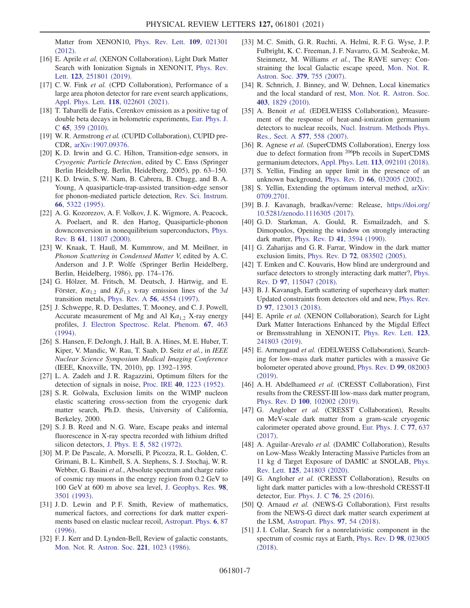Matter from XENON10, [Phys. Rev. Lett.](https://doi.org/10.1103/PhysRevLett.109.021301) 109, 021301 [\(2012\).](https://doi.org/10.1103/PhysRevLett.109.021301)

- [16] E. Aprile et al. (XENON Collaboration), Light Dark Matter Search with Ionization Signals in XENON1T, [Phys. Rev.](https://doi.org/10.1103/PhysRevLett.123.251801) Lett. 123[, 251801 \(2019\)](https://doi.org/10.1103/PhysRevLett.123.251801).
- <span id="page-6-0"></span>[17] C. W. Fink et al. (CPD Collaboration), Performance of a large area photon detector for rare event search applications, [Appl. Phys. Lett.](https://doi.org/10.1063/5.0032372) 118, 022601 (2021).
- <span id="page-6-1"></span>[18] T. Tabarelli de Fatis, Cerenkov emission as a positive tag of double beta decays in bolometric experiments, [Eur. Phys. J.](https://doi.org/10.1140/epjc/s10052-009-1207-8) C 65[, 359 \(2010\)](https://doi.org/10.1140/epjc/s10052-009-1207-8).
- [19] W. R. Armstrong et al. (CUPID Collaboration), CUPID pre-CDR, [arXiv:1907.09376.](https://arXiv.org/abs/1907.09376)
- <span id="page-6-2"></span>[20] K. D. Irwin and G. C. Hilton, Transition-edge sensors, in Cryogenic Particle Detection, edited by C. Enss (Springer Berlin Heidelberg, Berlin, Heidelberg, 2005), pp. 63–150.
- [21] K. D. Irwin, S. W. Nam, B. Cabrera, B. Chugg, and B. A. Young, A quasiparticle‐trap‐assisted transition‐edge sensor for phonon‐mediated particle detection, [Rev. Sci. Instrum.](https://doi.org/10.1063/1.1146105) 66[, 5322 \(1995\)](https://doi.org/10.1063/1.1146105).
- <span id="page-6-3"></span>[22] A. G. Kozorezov, A. F. Volkov, J. K. Wigmore, A. Peacock, A. Poelaert, and R. den Hartog, Quasiparticle-phonon downconversion in nonequilibrium superconductors, [Phys.](https://doi.org/10.1103/PhysRevB.61.11807) Rev. B 61[, 11807 \(2000\)](https://doi.org/10.1103/PhysRevB.61.11807).
- [23] W. Knaak, T. Hauß, M. Kummrow, and M. Meißner, in Phonon Scattering in Condensed Matter V, edited by A. C. Anderson and J. P. Wolfe (Springer Berlin Heidelberg, Berlin, Heidelberg, 1986), pp. 174–176.
- <span id="page-6-4"></span>[24] G. Hölzer, M. Fritsch, M. Deutsch, J. Härtwig, and E. Förster,  $K\alpha_{1,2}$  and  $K\beta_{1,3}$  x-ray emission lines of the 3d transition metals, Phys. Rev. A 56[, 4554 \(1997\).](https://doi.org/10.1103/PhysRevA.56.4554)
- <span id="page-6-5"></span>[25] J. Schweppe, R. D. Deslattes, T. Mooney, and C. J. Powell, Accurate measurement of Mg and Al  $K\alpha_{1,2}$  X-ray energy profiles, [J. Electron Spectrosc. Relat. Phenom.](https://doi.org/10.1016/0368-2048(93)02059-U) 67, 463 [\(1994\).](https://doi.org/10.1016/0368-2048(93)02059-U)
- <span id="page-6-6"></span>[26] S. Hansen, F. DeJongh, J. Hall, B. A. Hines, M. E. Huber, T. Kiper, V. Mandic, W. Rau, T. Saab, D. Seitz et al., in IEEE Nuclear Science Symposium Medical Imaging Conference (IEEE, Knoxville, TN, 2010), pp. 1392–1395.
- <span id="page-6-7"></span>[27] L. A. Zadeh and J. R. Ragazzini, Optimum filters for the detection of signals in noise, Proc. IRE 40[, 1223 \(1952\).](https://doi.org/10.1109/JRPROC.1952.274117)
- <span id="page-6-10"></span>[28] S. R. Golwala, Exclusion limits on the WIMP nucleon elastic scattering cross-section from the cryogenic dark matter search, Ph.D. thesis, University of California, Berkeley, 2000.
- <span id="page-6-8"></span>[29] S. J. B. Reed and N. G. Ware, Escape peaks and internal fluorescence in X-ray spectra recorded with lithium drifted silicon detectors, J. Phys. E 5[, 582 \(1972\).](https://doi.org/10.1088/0022-3735/5/6/029)
- <span id="page-6-9"></span>[30] M. P. De Pascale, A. Morselli, P. Picozza, R. L. Golden, C. Grimani, B. L. Kimbell, S. A. Stephens, S. J. Stochaj, W. R. Webber, G. Basini et al., Absolute spectrum and charge ratio of cosmic ray muons in the energy region from 0.2 GeV to 100 GeV at 600 m above sea level, [J. Geophys. Res.](https://doi.org/10.1029/92JA02672) 98, [3501 \(1993\)](https://doi.org/10.1029/92JA02672).
- <span id="page-6-11"></span>[31] J.D. Lewin and P.F. Smith, Review of mathematics, numerical factors, and corrections for dark matter experiments based on elastic nuclear recoil, [Astropart. Phys.](https://doi.org/10.1016/S0927-6505(96)00047-3) 6, 87 [\(1996\).](https://doi.org/10.1016/S0927-6505(96)00047-3)
- <span id="page-6-12"></span>[32] F. J. Kerr and D. Lynden-Bell, Review of galactic constants, [Mon. Not. R. Astron. Soc.](https://doi.org/10.1093/mnras/221.4.1023) 221, 1023 (1986).
- [33] M. C. Smith, G. R. Ruchti, A. Helmi, R. F. G. Wyse, J. P. Fulbright, K. C. Freeman, J. F. Navarro, G. M. Seabroke, M. Steinmetz, M. Williams et al., The RAVE survey: Constraining the local Galactic escape speed, [Mon. Not. R.](https://doi.org/10.1111/j.1365-2966.2007.11964.x) Astron. Soc. 379[, 755 \(2007\).](https://doi.org/10.1111/j.1365-2966.2007.11964.x)
- [34] R. Schnrich, J. Binney, and W. Dehnen, Local kinematics and the local standard of rest, [Mon. Not. R. Astron. Soc.](https://doi.org/10.1111/j.1365-2966.2010.16253.x) 403[, 1829 \(2010\)](https://doi.org/10.1111/j.1365-2966.2010.16253.x).
- <span id="page-6-13"></span>[35] A. Benoit et al. (EDELWEISS Collaboration), Measurement of the response of heat-and-ionization germanium detectors to nuclear recoils, [Nucl. Instrum. Methods Phys.](https://doi.org/10.1016/j.nima.2007.04.118) [Res., Sect. A](https://doi.org/10.1016/j.nima.2007.04.118) 577, 558 (2007).
- [36] R. Agnese et al. (SuperCDMS Collaboration), Energy loss due to defect formation from <sup>206</sup>Pb recoils in SuperCDMS germanium detectors, [Appl. Phys. Lett.](https://doi.org/10.1063/1.5041457) 113, 092101 (2018).
- <span id="page-6-14"></span>[37] S. Yellin, Finding an upper limit in the presence of an unknown background, Phys. Rev. D 66[, 032005 \(2002\)](https://doi.org/10.1103/PhysRevD.66.032005).
- [38] S. Yellin, Extending the optimum interval method, [arXiv:](https://arXiv.org/abs/0709.2701) [0709.2701](https://arXiv.org/abs/0709.2701).
- <span id="page-6-15"></span>[39] B. J. Kavanagh, bradkav/verne: Release, [https://doi.org/](https://doi.org/10.5281/zenodo.1116305) [10.5281/zenodo.1116305 \(2017\).](https://doi.org/10.5281/zenodo.1116305)
- <span id="page-6-16"></span>[40] G.D. Starkman, A. Gould, R. Esmailzadeh, and S. Dimopoulos, Opening the window on strongly interacting dark matter, Phys. Rev. D 41[, 3594 \(1990\)](https://doi.org/10.1103/PhysRevD.41.3594).
- [41] G. Zaharijas and G. R. Farrar, Window in the dark matter exclusion limits, Phys. Rev. D 72[, 083502 \(2005\).](https://doi.org/10.1103/PhysRevD.72.083502)
- [42] T. Emken and C. Kouvaris, How blind are underground and surface detectors to strongly interacting dark matter?, [Phys.](https://doi.org/10.1103/PhysRevD.97.115047) Rev. D 97[, 115047 \(2018\)](https://doi.org/10.1103/PhysRevD.97.115047).
- <span id="page-6-17"></span>[43] B. J. Kavanagh, Earth scattering of superheavy dark matter: Updated constraints from detectors old and new, [Phys. Rev.](https://doi.org/10.1103/PhysRevD.97.123013) D 97[, 123013 \(2018\)](https://doi.org/10.1103/PhysRevD.97.123013).
- [44] E. Aprile et al. (XENON Collaboration), Search for Light Dark Matter Interactions Enhanced by the Migdal Effect or Bremsstrahlung in XENON1T, [Phys. Rev. Lett.](https://doi.org/10.1103/PhysRevLett.123.241803) 123, [241803 \(2019\).](https://doi.org/10.1103/PhysRevLett.123.241803)
- <span id="page-6-18"></span>[45] E. Armengaud et al. (EDELWEISS Collaboration), Searching for low-mass dark matter particles with a massive Ge bolometer operated above ground, [Phys. Rev. D](https://doi.org/10.1103/PhysRevD.99.082003) 99, 082003 [\(2019\).](https://doi.org/10.1103/PhysRevD.99.082003)
- [46] A. H. Abdelhameed et al. (CRESST Collaboration), First results from the CRESST-III low-mass dark matter program, Phys. Rev. D 100[, 102002 \(2019\)](https://doi.org/10.1103/PhysRevD.100.102002).
- [47] G. Angloher et al. (CRESST Collaboration), Results on MeV-scale dark matter from a gram-scale cryogenic calorimeter operated above ground, [Eur. Phys. J. C](https://doi.org/10.1140/epjc/s10052-017-5223-9) 77, 637 [\(2017\).](https://doi.org/10.1140/epjc/s10052-017-5223-9)
- [48] A. Aguilar-Arevalo et al. (DAMIC Collaboration), Results on Low-Mass Weakly Interacting Massive Particles from an 11 kg d Target Exposure of DAMIC at SNOLAB, [Phys.](https://doi.org/10.1103/PhysRevLett.125.241803) Rev. Lett. 125[, 241803 \(2020\).](https://doi.org/10.1103/PhysRevLett.125.241803)
- [49] G. Angloher et al. (CRESST Collaboration), Results on light dark matter particles with a low-threshold CRESST-II detector, [Eur. Phys. J. C](https://doi.org/10.1140/epjc/s10052-016-3877-3) 76, 25 (2016).
- [50] Q. Arnaud et al. (NEWS-G Collaboration), First results from the NEWS-G direct dark matter search experiment at the LSM, [Astropart. Phys.](https://doi.org/10.1016/j.astropartphys.2017.10.009) 97, 54 (2018).
- [51] J. I. Collar, Search for a nonrelativistic component in the spectrum of cosmic rays at Earth, [Phys. Rev. D](https://doi.org/10.1103/PhysRevD.98.023005) 98, 023005 [\(2018\).](https://doi.org/10.1103/PhysRevD.98.023005)